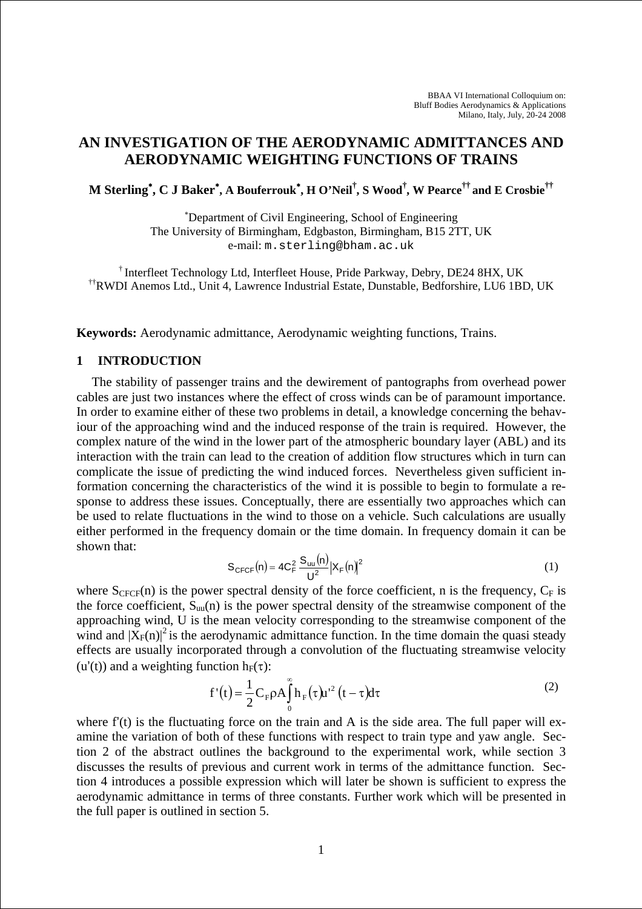# **AN INVESTIGATION OF THE AERODYNAMIC ADMITTANCES AND AERODYNAMIC WEIGHTING FUNCTIONS OF TRAINS**

**M Sterling**<sup>∗</sup> **, C J Baker**<sup>∗</sup> **, A Bouferrouk**<sup>∗</sup> **, H O'Neil† , S Wood† , W Pearce†† and E Crosbie††**

∗ Department of Civil Engineering, School of Engineering The University of Birmingham, Edgbaston, Birmingham, B15 2TT, UK e-mail: m.sterling@bham.ac.uk

† Interfleet Technology Ltd, Interfleet House, Pride Parkway, Debry, DE24 8HX, UK ††RWDI Anemos Ltd., Unit 4, Lawrence Industrial Estate, Dunstable, Bedforshire, LU6 1BD, UK

**Keywords:** Aerodynamic admittance, Aerodynamic weighting functions, Trains.

### **1 INTRODUCTION**

The stability of passenger trains and the dewirement of pantographs from overhead power cables are just two instances where the effect of cross winds can be of paramount importance. In order to examine either of these two problems in detail, a knowledge concerning the behaviour of the approaching wind and the induced response of the train is required. However, the complex nature of the wind in the lower part of the atmospheric boundary layer (ABL) and its interaction with the train can lead to the creation of addition flow structures which in turn can complicate the issue of predicting the wind induced forces. Nevertheless given sufficient information concerning the characteristics of the wind it is possible to begin to formulate a response to address these issues. Conceptually, there are essentially two approaches which can be used to relate fluctuations in the wind to those on a vehicle. Such calculations are usually either performed in the frequency domain or the time domain. In frequency domain it can be shown that:

$$
S_{CFCF}(n) = 4C_F^2 \frac{S_{uu}(n)}{U^2} |X_F(n)|^2
$$
 (1)

where  $S_{CFCF}(n)$  is the power spectral density of the force coefficient, n is the frequency,  $C_F$  is the force coefficient,  $S_{uu}(n)$  is the power spectral density of the streamwise component of the approaching wind, U is the mean velocity corresponding to the streamwise component of the wind and  $|\bar{X}_F(n)|^2$  is the aerodynamic admittance function. In the time domain the quasi steady effects are usually incorporated through a convolution of the fluctuating streamwise velocity (u'(t)) and a weighting function  $h_F(\tau)$ :

$$
f'(t) = \frac{1}{2} C_F \rho A \int_0^{\infty} h_F(\tau) u'^2 (t - \tau) d\tau
$$
 (2)

where  $f'(t)$  is the fluctuating force on the train and A is the side area. The full paper will examine the variation of both of these functions with respect to train type and yaw angle. Section 2 of the abstract outlines the background to the experimental work, while section 3 discusses the results of previous and current work in terms of the admittance function. Section 4 introduces a possible expression which will later be shown is sufficient to express the aerodynamic admittance in terms of three constants. Further work which will be presented in the full paper is outlined in section 5.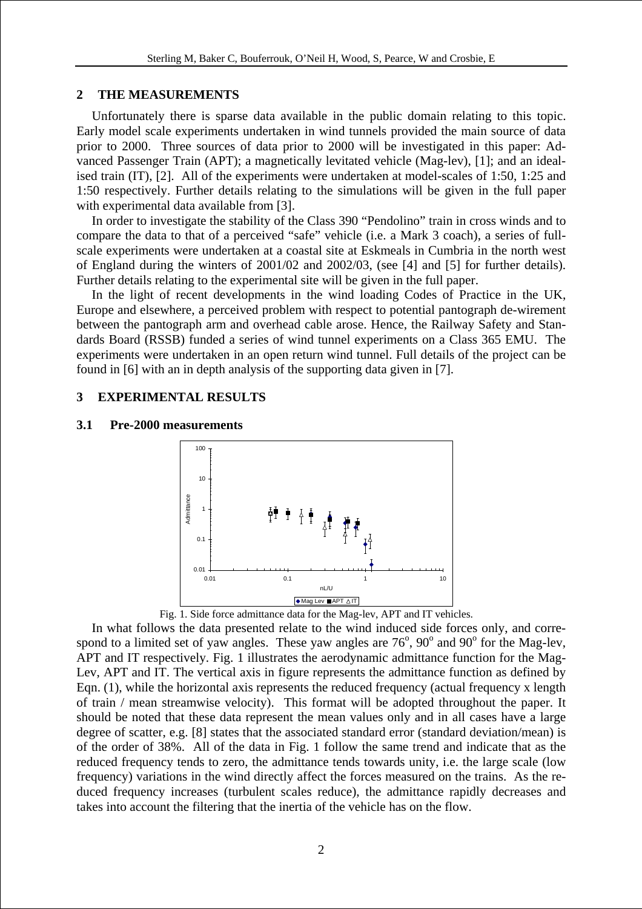### **2 THE MEASUREMENTS**

Unfortunately there is sparse data available in the public domain relating to this topic. Early model scale experiments undertaken in wind tunnels provided the main source of data prior to 2000. Three sources of data prior to 2000 will be investigated in this paper: Advanced Passenger Train (APT); a magnetically levitated vehicle (Mag-lev), [1]; and an idealised train (IT), [2]. All of the experiments were undertaken at model-scales of 1:50, 1:25 and 1:50 respectively. Further details relating to the simulations will be given in the full paper with experimental data available from [3].

In order to investigate the stability of the Class 390 "Pendolino" train in cross winds and to compare the data to that of a perceived "safe" vehicle (i.e. a Mark 3 coach), a series of fullscale experiments were undertaken at a coastal site at Eskmeals in Cumbria in the north west of England during the winters of 2001/02 and 2002/03, (see [4] and [5] for further details). Further details relating to the experimental site will be given in the full paper.

In the light of recent developments in the wind loading Codes of Practice in the UK, Europe and elsewhere, a perceived problem with respect to potential pantograph de-wirement between the pantograph arm and overhead cable arose. Hence, the Railway Safety and Standards Board (RSSB) funded a series of wind tunnel experiments on a Class 365 EMU. The experiments were undertaken in an open return wind tunnel. Full details of the project can be found in [6] with an in depth analysis of the supporting data given in [7].

### **3 EXPERIMENTAL RESULTS**

#### **3.1 Pre-2000 measurements**



Fig. 1. Side force admittance data for the Mag-lev, APT and IT vehicles.

In what follows the data presented relate to the wind induced side forces only, and correspond to a limited set of yaw angles. These yaw angles are  $76^{\circ}$ ,  $90^{\circ}$  and  $90^{\circ}$  for the Mag-lev, APT and IT respectively. Fig. 1 illustrates the aerodynamic admittance function for the Mag-Lev, APT and IT. The vertical axis in figure represents the admittance function as defined by Eqn. (1), while the horizontal axis represents the reduced frequency (actual frequency x length of train / mean streamwise velocity). This format will be adopted throughout the paper. It should be noted that these data represent the mean values only and in all cases have a large degree of scatter, e.g. [8] states that the associated standard error (standard deviation/mean) is of the order of 38%. All of the data in Fig. 1 follow the same trend and indicate that as the reduced frequency tends to zero, the admittance tends towards unity, i.e. the large scale (low frequency) variations in the wind directly affect the forces measured on the trains. As the reduced frequency increases (turbulent scales reduce), the admittance rapidly decreases and takes into account the filtering that the inertia of the vehicle has on the flow.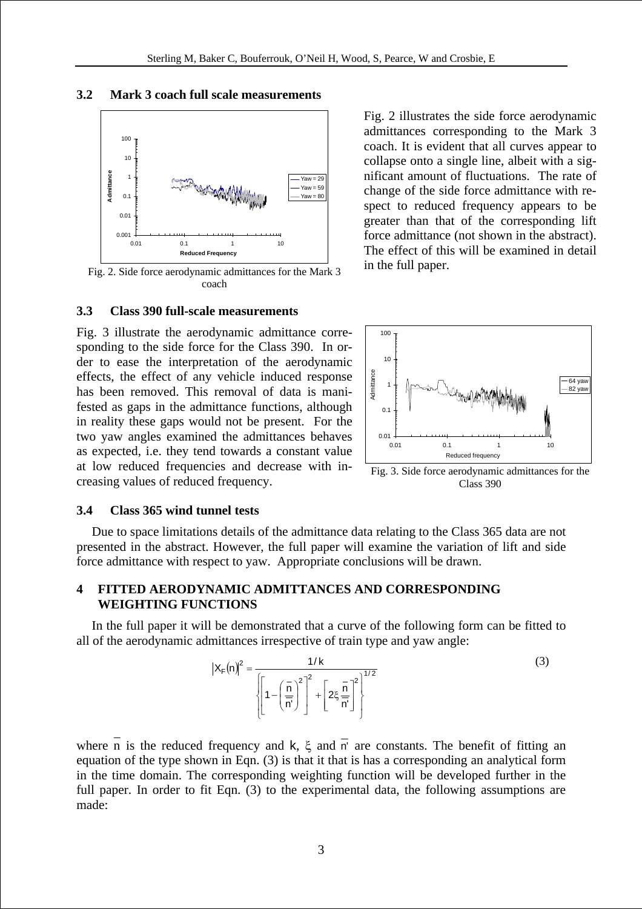### **3.2 Mark 3 coach full scale measurements**



Fig. 2. Side force aerodynamic admittances for the Mark 3 coach

### **3.3 Class 390 full-scale measurements**

Fig. 3 illustrate the aerodynamic admittance corresponding to the side force for the Class 390. In order to ease the interpretation of the aerodynamic effects, the effect of any vehicle induced response has been removed. This removal of data is manifested as gaps in the admittance functions, although in reality these gaps would not be present. For the two yaw angles examined the admittances behaves as expected, i.e. they tend towards a constant value at low reduced frequencies and decrease with inat low reduced frequencies and decrease with  $\text{Hi}$  Fig. 3. Side force aerodynamic admittances for the creasing values of reduced frequency.

Fig. 2 illustrates the side force aerodynamic admittances corresponding to the Mark 3 coach. It is evident that all curves appear to collapse onto a single line, albeit with a significant amount of fluctuations. The rate of change of the side force admittance with respect to reduced frequency appears to be greater than that of the corresponding lift force admittance (not shown in the abstract). The effect of this will be examined in detail in the full paper.



Class 390

#### **3.4 Class 365 wind tunnel tests**

Due to space limitations details of the admittance data relating to the Class 365 data are not presented in the abstract. However, the full paper will examine the variation of lift and side force admittance with respect to yaw. Appropriate conclusions will be drawn.

## **4 FITTED AERODYNAMIC ADMITTANCES AND CORRESPONDING WEIGHTING FUNCTIONS**

In the full paper it will be demonstrated that a curve of the following form can be fitted to all of the aerodynamic admittances irrespective of train type and yaw angle:

$$
|X_{F}(n)|^{2} = \frac{1/k}{\left[1 - \left(\frac{\bar{n}}{n}\right)^{2}\right]^{2} + \left[2\xi\frac{\bar{n}}{n'}\right]^{2}}\right]^{1/2}}
$$
(3)

where n is the reduced frequency and k,  $\xi$  and  $\overline{n}$  are constants. The benefit of fitting an equation of the type shown in Eqn. (3) is that it that is has a corresponding an analytical form in the time domain. The corresponding weighting function will be developed further in the full paper. In order to fit Eqn. (3) to the experimental data, the following assumptions are made: